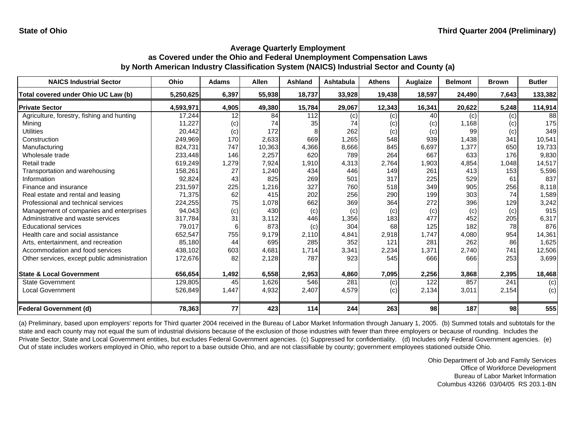| <b>NAICS Industrial Sector</b>               | Ohio      | Adams | <b>Allen</b> | <b>Ashland</b> | Ashtabula | <b>Athens</b> | Auglaize | <b>Belmont</b> | <b>Brown</b> | <b>Butler</b> |
|----------------------------------------------|-----------|-------|--------------|----------------|-----------|---------------|----------|----------------|--------------|---------------|
| Total covered under Ohio UC Law (b)          | 5,250,625 | 6,397 | 55,938       | 18,737         | 33,928    | 19,438        | 18,597   | 24,490         | 7,643        | 133,382       |
| <b>Private Sector</b>                        | 4,593,971 | 4,905 | 49,380       | 15,784         | 29,067    | 12,343        | 16,341   | 20,622         | 5,248        | 114,914       |
| Agriculture, forestry, fishing and hunting   | 17,244    | 12    | 84           | 112            | (c)       | (c)           | 40       | (c)            | (c)          | 88            |
| Mining                                       | 11,227    | (c)   | 74           | 35             | 74        | (c)           | (c)      | 1,168          | (c)          | 175           |
| <b>Utilities</b>                             | 20,442    | (c)   | 172          |                | 262       | (c)           | (c)      | 99             | (c)          | 349           |
| Construction                                 | 249,969   | 170   | 2,633        | 669            | 1,265     | 548           | 939      | 1,438          | 341          | 10,541        |
| Manufacturing                                | 824,731   | 747   | 10,363       | 4,366          | 8,666     | 845           | 6,697    | 1,377          | 650          | 19,733        |
| Wholesale trade                              | 233,448   | 146   | 2,257        | 620            | 789       | 264           | 667      | 633            | 176          | 9,830         |
| Retail trade                                 | 619,249   | 1,279 | 7,924        | 1,910          | 4,313     | 2,764         | 1,903    | 4,854          | 1,048        | 14,517        |
| Transportation and warehousing               | 158,261   | 27    | 1,240        | 434            | 446       | 149           | 261      | 413            | 153          | 5,596         |
| Information                                  | 92,824    | 43    | 825          | 269            | 501       | 317           | 225      | 529            | 61           | 837           |
| Finance and insurance                        | 231,597   | 225   | 1,216        | 327            | 760       | 518           | 349      | 905            | 256          | 8,118         |
| Real estate and rental and leasing           | 71,375    | 62    | 415          | 202            | 256       | 290           | 199      | 303            | 74           | 1,589         |
| Professional and technical services          | 224,255   | 75    | 1,078        | 662            | 369       | 364           | 272      | 396            | 129          | 3,242         |
| Management of companies and enterprises      | 94,043    | (c)   | 430          | (c)            | (c)       | (c)           | (c)      | (c)            | (c)          | 915           |
| Administrative and waste services            | 317,784   | 31    | 3,112        | 446            | 1,356     | 183           | 477      | 452            | 205          | 6,317         |
| <b>Educational services</b>                  | 79,017    |       | 873          | (c)            | 304       | 68            | 125      | 182            | 78           | 876           |
| Health care and social assistance            | 652,547   | 755   | 9,179        | 2.110          | 4,841     | 2,918         | 1.747    | 4,080          | 954          | 14,361        |
| Arts, entertainment, and recreation          | 85,180    | 44    | 695          | 285            | 352       | 121           | 281      | 262            | 86           | 1,625         |
| Accommodation and food services              | 438,102   | 603   | 4,681        | 1.714          | 3,341     | 2,234         | 1,371    | 2,740          | 741          | 12,506        |
| Other services, except public administration | 172,676   | 82    | 2,128        | 787            | 923       | 545           | 666      | 666            | 253          | 3,699         |
| <b>State &amp; Local Government</b>          | 656,654   | 1,492 | 6,558        | 2,953          | 4,860     | 7,095         | 2,256    | 3,868          | 2,395        | 18,468        |
| <b>State Government</b>                      | 129,805   | 45    | 1,626        | 546            | 281       | (c)           | 122      | 857            | 241          | (c)           |
| <b>Local Government</b>                      | 526,849   | 1,447 | 4,932        | 2,407          | 4,579     | (c)           | 2,134    | 3,011          | 2,154        | (c)           |
| <b>Federal Government (d)</b>                | 78,363    | 77    | 423          | 114            | 244       | 263           | 98       | 187            | 98           | 555           |

(a) Preliminary, based upon employers' reports for Third quarter 2004 received in the Bureau of Labor Market Information through January 1, 2005. (b) Summed totals and subtotals for the state and each county may not equal the sum of industrial divisions because of the exclusion of those industries with fewer than three employers or because of rounding. Includes the Private Sector, State and Local Government entities, but excludes Federal Government agencies. (c) Suppressed for confidentiality. (d) Includes only Federal Government agencies. (e) Out of state includes workers employed in Ohio, who report to a base outside Ohio, and are not classifiable by county; government employees stationed outside Ohio.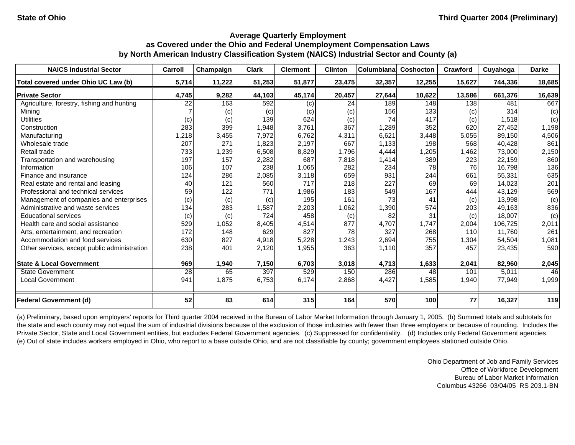| <b>NAICS Industrial Sector</b>               | Carroll | Champaign | <b>Clark</b> | <b>Clermont</b> | <b>Clinton</b> | Columbiana | <b>Coshocton</b> | Crawford | Cuyahoga | <b>Darke</b> |
|----------------------------------------------|---------|-----------|--------------|-----------------|----------------|------------|------------------|----------|----------|--------------|
| Total covered under Ohio UC Law (b)          | 5,714   | 11,222    | 51,253       | 51,877          | 23,475         | 32,357     | 12,255           | 15,627   | 744,336  | 18,685       |
| <b>Private Sector</b>                        | 4,745   | 9,282     | 44,103       | 45,174          | 20,457         | 27,644     | 10,622           | 13,586   | 661,376  | 16,639       |
| Agriculture, forestry, fishing and hunting   | 22      | 163       | 592          | (c)             | 24             | 189        | 148              | 138      | 481      | 667          |
| Mining                                       |         | (c)       | (c)          | (c)             | (c)            | 156        | 133              | (c)      | 314      | (c)          |
| <b>Utilities</b>                             | (c)     | (c)       | 139          | 624             | (c)            | 74         | 417              | (c)      | 1,518    | (c)          |
| Construction                                 | 283     | 399       | 1,948        | 3,761           | 367            | 1,289      | 352              | 620      | 27,452   | 1,198        |
| Manufacturing                                | ,218    | 3,455     | 7,972        | 6,762           | 4,311          | 6,621      | 3,448            | 5,055    | 89,150   | 4,506        |
| Wholesale trade                              | 207     | 271       | 1,823        | 2,197           | 667            | 1,133      | 198              | 568      | 40,428   | 861          |
| Retail trade                                 | 733     | 1,239     | 6,508        | 8,829           | 1,796          | 4,444      | 1,205            | 1,462    | 73,000   | 2,150        |
| Transportation and warehousing               | 197     | 157       | 2,282        | 687             | 7,818          | 1,414      | 389              | 223      | 22,159   | 860          |
| Information                                  | 106     | 107       | 238          | 1,065           | 282            | 234        | 78               | 76       | 16,798   | 136          |
| Finance and insurance                        | 124     | 286       | 2,085        | 3,118           | 659            | 931        | 244              | 661      | 55,331   | 635          |
| Real estate and rental and leasing           | 40      | 121       | 560          | 717             | 218            | 227        | 69               | 69       | 14,023   | 201          |
| Professional and technical services          | 59      | 122       | 771          | 1,986           | 183            | 549        | 167              | 444      | 43,129   | 569          |
| Management of companies and enterprises      | (c)     | (c)       | (c)          | 195             | 161            | 73         | 41               | (c)      | 13,998   | (c)          |
| Administrative and waste services            | 134     | 283       | 1,587        | 2,203           | 1,062          | 1,390      | 574              | 203      | 49,163   | 836          |
| <b>Educational services</b>                  | (c)     | (c)       | 724          | 458             | (c)            | 82         | 31               | (c)      | 18,007   | (c)          |
| Health care and social assistance            | 529     | 1,052     | 8,405        | 4,514           | 877            | 4,707      | 1,747            | 2,004    | 106,725  | 2,011        |
| Arts, entertainment, and recreation          | 172     | 148       | 629          | 827             | 78             | 327        | 268              | 110      | 11,760   | 261          |
| Accommodation and food services              | 630     | 827       | 4,918        | 5,228           | 1,243          | 2,694      | 755              | 1,304    | 54,504   | 1,081        |
| Other services, except public administration | 238     | 401       | 2,120        | 1,955           | 363            | 1,110      | 357              | 457      | 23,435   | 590          |
| <b>State &amp; Local Government</b>          | 969     | 1,940     | 7,150        | 6,703           | 3,018          | 4,713      | 1,633            | 2,041    | 82,960   | 2,045        |
| <b>State Government</b>                      | 28      | 65        | 397          | 529             | 150            | 286        | 48               | 101      | 5,011    | 46           |
| <b>Local Government</b>                      | 941     | 1,875     | 6,753        | 6,174           | 2,868          | 4,427      | 1,585            | 1,940    | 77,949   | 1,999        |
| <b>Federal Government (d)</b>                | 52      | 83        | 614          | 315             | 164            | 570        | 100              | 77       | 16,327   | 119          |

(a) Preliminary, based upon employers' reports for Third quarter 2004 received in the Bureau of Labor Market Information through January 1, 2005. (b) Summed totals and subtotals for the state and each county may not equal the sum of industrial divisions because of the exclusion of those industries with fewer than three employers or because of rounding. Includes the Private Sector, State and Local Government entities, but excludes Federal Government agencies. (c) Suppressed for confidentiality. (d) Includes only Federal Government agencies. (e) Out of state includes workers employed in Ohio, who report to a base outside Ohio, and are not classifiable by county; government employees stationed outside Ohio.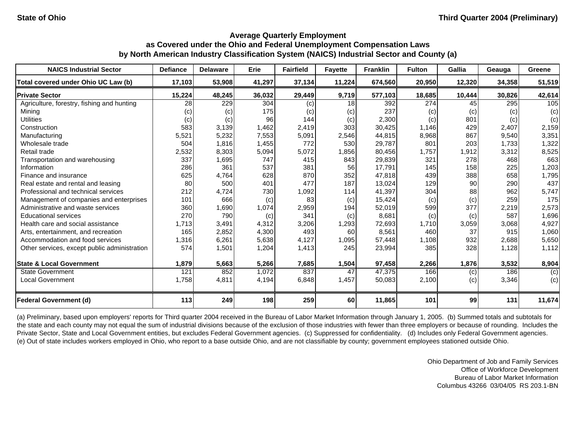| <b>NAICS Industrial Sector</b>               | <b>Defiance</b> | <b>Delaware</b> | Erie   | <b>Fairfield</b> | <b>Fayette</b> | <b>Franklin</b> | <b>Fulton</b> | Gallia | Geauga | Greene |
|----------------------------------------------|-----------------|-----------------|--------|------------------|----------------|-----------------|---------------|--------|--------|--------|
| Total covered under Ohio UC Law (b)          | 17,103          | 53,908          | 41,297 | 37,134           | 11,224         | 674,560         | 20,950        | 12,320 | 34,358 | 51,519 |
| <b>Private Sector</b>                        | 15,224          | 48,245          | 36,032 | 29,449           | 9,719          | 577,103         | 18,685        | 10,444 | 30,826 | 42,614 |
| Agriculture, forestry, fishing and hunting   | 28              | 229             | 304    | (c)              | 18             | 392             | 274           | 45     | 295    | 105    |
| Minina                                       | (c)             | (c)             | 175    | $\left( $        | (c)            | 237             | (c)           | (c)    | (c)    | (c)    |
| Utilities                                    | (c)             | (c)             | 96     | 144              | (c)            | 2,300           | (c)           | 801    | (c)    | (c)    |
| Construction                                 | 583             | 3,139           | 1,462  | 2,419            | 303            | 30,425          | 1,146         | 429    | 2,407  | 2,159  |
| Manufacturing                                | 5,521           | 5,232           | 7,553  | 5,091            | 2,546          | 44,815          | 8,968         | 867    | 9,540  | 3,351  |
| Wholesale trade                              | 504             | 1,816           | 1,455  | 772              | 530            | 29,787          | 801           | 203    | 1,733  | 1,322  |
| Retail trade                                 | 2,532           | 8,303           | 5,094  | 5,072            | 1,856          | 80,456          | 1,757         | 1,912  | 3,312  | 8,525  |
| Transportation and warehousing               | 337             | 1,695           | 747    | 415              | 843            | 29,839          | 321           | 278    | 468    | 663    |
| Information                                  | 286             | 361             | 537    | 381              | 56             | 17,791          | 145           | 158    | 225    | 1,203  |
| Finance and insurance                        | 625             | 4,764           | 628    | 870              | 352            | 47,818          | 439           | 388    | 658    | 1,795  |
| Real estate and rental and leasing           | 80              | 500             | 401    | 477              | 187            | 13,024          | 129           | 90     | 290    | 437    |
| Professional and technical services          | 212             | 4,724           | 730    | 1,092            | <b>114</b>     | 41,397          | 304           | 88     | 962    | 5,747  |
| Management of companies and enterprises      | 101             | 666             | (c)    | 83               | (c)            | 15,424          | (c)           | (c)    | 259    | 175    |
| Administrative and waste services            | 360             | 1,690           | 1,074  | 2,959            | 194            | 52,019          | 599           | 377    | 2,219  | 2,573  |
| <b>Educational services</b>                  | 270             | 790             | (c)    | 341              | (c)            | 8,681           | (c)           | (c)    | 587    | 1,696  |
| Health care and social assistance            | 1.713           | 3,491           | 4,312  | 3,206            | 1,293          | 72,693          | 1,710         | 3,059  | 3,068  | 4,927  |
| Arts, entertainment, and recreation          | 165             | 2,852           | 4,300  | 493              | 60             | 8,561           | 460           | 37     | 915    | 1,060  |
| Accommodation and food services              | 1,316           | 6,261           | 5,638  | 4,127            | 1,095          | 57,448          | 1,108         | 932    | 2,688  | 5,650  |
| Other services, except public administration | 574             | 1,501           | 1,204  | 1,413            | 245            | 23,994          | 385           | 328    | 1,128  | 1,112  |
| <b>State &amp; Local Government</b>          | 1,879           | 5,663           | 5,266  | 7,685            | 1,504          | 97,458          | 2,266         | 1,876  | 3,532  | 8,904  |
| <b>State Government</b>                      | 121             | 852             | 1,072  | 837              | 47             | 47,375          | 166           | (c)    | 186    | (c)    |
| <b>Local Government</b>                      | 1,758           | 4,811           | 4,194  | 6,848            | 1,457          | 50,083          | 2,100         | (c)    | 3,346  | (c)    |
| <b>Federal Government (d)</b>                | 113             | 249             | 198    | 259              | <b>60</b>      | 11,865          | 101           | 99     | 131    | 11,674 |

(a) Preliminary, based upon employers' reports for Third quarter 2004 received in the Bureau of Labor Market Information through January 1, 2005. (b) Summed totals and subtotals for the state and each county may not equal the sum of industrial divisions because of the exclusion of those industries with fewer than three employers or because of rounding. Includes the Private Sector, State and Local Government entities, but excludes Federal Government agencies. (c) Suppressed for confidentiality. (d) Includes only Federal Government agencies. (e) Out of state includes workers employed in Ohio, who report to a base outside Ohio, and are not classifiable by county; government employees stationed outside Ohio.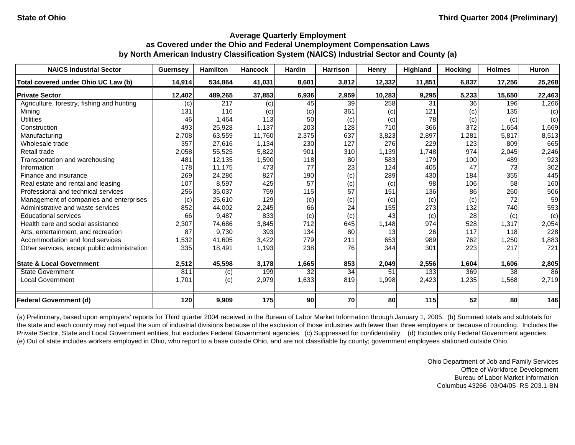| <b>NAICS Industrial Sector</b>               | <b>Guernsey</b> | <b>Hamilton</b> | <b>Hancock</b> | <b>Hardin</b> | <b>Harrison</b> | Henry             | Highland | <b>Hocking</b> | <b>Holmes</b> | <b>Huron</b> |
|----------------------------------------------|-----------------|-----------------|----------------|---------------|-----------------|-------------------|----------|----------------|---------------|--------------|
| Total covered under Ohio UC Law (b)          | 14,914          | 534,864         | 41,031         | 8,601         | 3,812           | 12,332            | 11,851   | 6,837          | 17,256        | 25,268       |
| <b>Private Sector</b>                        | 12,402          | 489,265         | 37,853         | 6,936         | 2,959           | 10,283            | 9,295    | 5,233          | 15,650        | 22,463       |
| Agriculture, forestry, fishing and hunting   | (c)             | 217             | (c)            | 45            | 39              | 258               | 31       | 36             | 196           | 1,266        |
| Minina                                       | 131             | 116             | (c)            | (c)           | 361             | $\left( c\right)$ | 121      | (c)            | 135           | (c)          |
| Utilities                                    | 46              | 1,464           | 113            | 50            | (c)             | (c)               | 78       | (c)            | (c)           | (c)          |
| Construction                                 | 493             | 25,928          | 1,137          | 203           | 128             | 710               | 366      | 372            | 1,654         | 1,669        |
| Manufacturing                                | 2,708           | 63,559          | 11,760         | 2,375         | 637             | 3,823             | 2,897    | 1,281          | 5,817         | 8,513        |
| Wholesale trade                              | 357             | 27,616          | 1,134          | 230           | 127             | 276               | 229      | 123            | 809           | 665          |
| Retail trade                                 | 2,058           | 55,525          | 5,822          | 901           | 310             | 1,139             | 1,748    | 974            | 2,045         | 2,246        |
| Transportation and warehousing               | 481             | 12,135          | 1,590          | 118           | 80              | 583               | 179      | 100            | 489           | 923          |
| Information                                  | 178             | 11,175          | 473            | 77            | 23              | 124               | 405      | 47             | 73            | 302          |
| Finance and insurance                        | 269             | 24,286          | 827            | 190           | (c)             | 289               | 430      | 184            | 355           | 445          |
| Real estate and rental and leasing           | 107             | 8,597           | 425            | 57            | (c)             | (c)               | 98       | 106            | 58            | 160          |
| Professional and technical services          | 256             | 35,037          | 759            | 115           | 57              | 151               | 136      | 86             | 260           | 506          |
| Management of companies and enterprises      | (c)             | 25,610          | 129            | (c)           | (c)             | (c)               | (c)      | (c)            | 72            | 59           |
| Administrative and waste services            | 852             | 44,002          | 2,245          | 66            | 24              | 155               | 273      | 132            | 740           | 553          |
| <b>Educational services</b>                  | 66              | 9,487           | 833            | (c)           | (c)             | 43                | (c)      | 28             | (c)           | (c)          |
| Health care and social assistance            | 2,307           | 74,686          | 3,845          | 712           | 645             | 1,148             | 974      | 528            | 1,317         | 2,054        |
| Arts, entertainment, and recreation          | 87              | 9,730           | 393            | 134           | 80              | 13                | 26       | 117            | 118           | 228          |
| Accommodation and food services              | 1,532           | 41,605          | 3,422          | 779           | 211             | 653               | 989      | 762            | 1,250         | 1,883        |
| Other services, except public administration | 335             | 18,491          | 1,193          | 238           | 76              | 344               | 301      | 223            | 217           | 721          |
| <b>State &amp; Local Government</b>          | 2,512           | 45,598          | 3,178          | 1,665         | 853             | 2,049             | 2,556    | 1,604          | 1,606         | 2,805        |
| <b>State Government</b>                      | 811             | (c)             | 199            | 32            | 34              | 51                | 133      | 369            | 38            | 86           |
| <b>Local Government</b>                      | 1,701           | (c)             | 2,979          | 1,633         | 819             | 1,998             | 2,423    | 1,235          | 1,568         | 2,719        |
| <b>Federal Government (d)</b>                | 120             | 9,909           | 175            | 90            | 70              | 80                | 115      | 52             | 80            | 146          |

(a) Preliminary, based upon employers' reports for Third quarter 2004 received in the Bureau of Labor Market Information through January 1, 2005. (b) Summed totals and subtotals for the state and each county may not equal the sum of industrial divisions because of the exclusion of those industries with fewer than three employers or because of rounding. Includes the Private Sector, State and Local Government entities, but excludes Federal Government agencies. (c) Suppressed for confidentiality. (d) Includes only Federal Government agencies. (e) Out of state includes workers employed in Ohio, who report to a base outside Ohio, and are not classifiable by county; government employees stationed outside Ohio.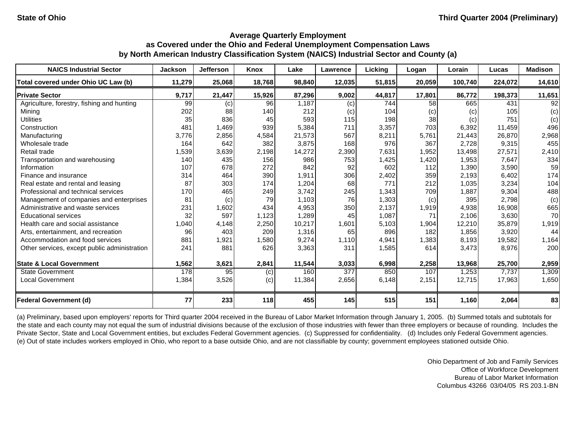| <b>NAICS Industrial Sector</b>               | <b>Jackson</b> | <b>Jefferson</b> | Knox   | Lake   | <b>Lawrence</b>  | Licking    | Logan  | Lorain  | Lucas   | <b>Madison</b>  |
|----------------------------------------------|----------------|------------------|--------|--------|------------------|------------|--------|---------|---------|-----------------|
| Total covered under Ohio UC Law (b)          | 11,279         | 25,068           | 18,768 | 98.840 | 12,035           | 51,815     | 20,059 | 100,740 | 224,072 | 14,610          |
| <b>Private Sector</b>                        | 9,717          | 21,447           | 15,926 | 87,296 | 9,002            | 44,817     | 17,801 | 86,772  | 198,373 | 11,651          |
| Agriculture, forestry, fishing and hunting   | 99             | (c)              | 96     | 1,187  | (c)              | 744        | 58     | 665     | 431     | $\overline{92}$ |
| Minina                                       | 202            | 88               | 140    | 212    | (c)              | 104        | (c)    | (c)     | 105     | (c)             |
| <b>Utilities</b>                             | 35             | 836              | 45     | 593    | 115              | 198        | 38     | (c)     | 751     | (c)             |
| Construction                                 | 481            | 1,469            | 939    | 5,384  | 711              | 3,357      | 703    | 6,392   | 11,459  | 496             |
| Manufacturing                                | 3,776          | 2,856            | 4,584  | 21,573 | 567              | 8,211      | 5,761  | 21,443  | 26.870  | 2,968           |
| Wholesale trade                              | 164            | 642              | 382    | 3,875  | 168              | 976        | 367    | 2,728   | 9,315   | 455             |
| Retail trade                                 | ,539           | 3,639            | 2,198  | 14,272 | 2,390            | 7,631      | 1,952  | 13,498  | 27,571  | 2,410           |
| Transportation and warehousing               | 140            | 435              | 156    | 986    | 753              | 1,425      | 1,420  | 1,953   | 7,647   | 334             |
| Information                                  | 107            | 678              | 272    | 842    | 92               | 602        | 112    | 1,390   | 3,590   | 59              |
| Finance and insurance                        | 314            | 464              | 390    | 1.911  | 306              | 2,402      | 359    | 2,193   | 6,402   | 174             |
| Real estate and rental and leasing           | 87             | 303              | 174    | 1,204  | 68               | 771        | 212    | 1,035   | 3,234   | 104             |
| Professional and technical services          | 170            | 465              | 249    | 3,742  | 245              | 1,343      | 709    | 1,887   | 9,304   | 488             |
| Management of companies and enterprises      | 81             | (c)              | 79     | 1,103  | 76               | 1,303      | (c)    | 395     | 2,798   | (c)             |
| Administrative and waste services            | 231            | 1,602            | 434    | 4,953  | 350              | 2,137      | 1,919  | 4,938   | 16,908  | 665             |
| <b>Educational services</b>                  | 32             | 597              | 1,123  | 1,289  | 45               | 1,087      | 71     | 2,106   | 3,630   | 70              |
| Health care and social assistance            | 1,040          | 4,148            | 2,250  | 10,217 | 1,601            | 5,103      | 1,904  | 12,210  | 35.879  | 1,919           |
| Arts, entertainment, and recreation          | 96             | 403              | 209    | 1,316  | 65               | 896        | 182    | 1,856   | 3,920   | 44              |
| Accommodation and food services              | 881            | 1,921            | 1,580  | 9,274  | 1,110            | 4,941      | 1,383  | 8,193   | 19,582  | 1,164           |
| Other services, except public administration | 241            | 881              | 626    | 3,363  | 311              | 1,585      | 614    | 3,473   | 8,976   | 200             |
| <b>State &amp; Local Government</b>          | 1,562          | 3,621            | 2,841  | 11,544 | 3,033            | 6,998      | 2,258  | 13,968  | 25,700  | 2,959           |
| <b>State Government</b>                      | 178            | 95               | (c)    | 160    | $\overline{377}$ | 850        | 107    | 1,253   | 7,737   | 1,309           |
| <b>Local Government</b>                      | 1,384          | 3,526            | (c)    | 11,384 | 2,656            | 6,148      | 2,151  | 12,715  | 17,963  | 1,650           |
| <b>Federal Government (d)</b>                | 77             | 233              | 118    | 455    | 145              | <b>515</b> | 151    | 1,160   | 2,064   | 83              |

(a) Preliminary, based upon employers' reports for Third quarter 2004 received in the Bureau of Labor Market Information through January 1, 2005. (b) Summed totals and subtotals for the state and each county may not equal the sum of industrial divisions because of the exclusion of those industries with fewer than three employers or because of rounding. Includes the Private Sector, State and Local Government entities, but excludes Federal Government agencies. (c) Suppressed for confidentiality. (d) Includes only Federal Government agencies. (e) Out of state includes workers employed in Ohio, who report to a base outside Ohio, and are not classifiable by county; government employees stationed outside Ohio.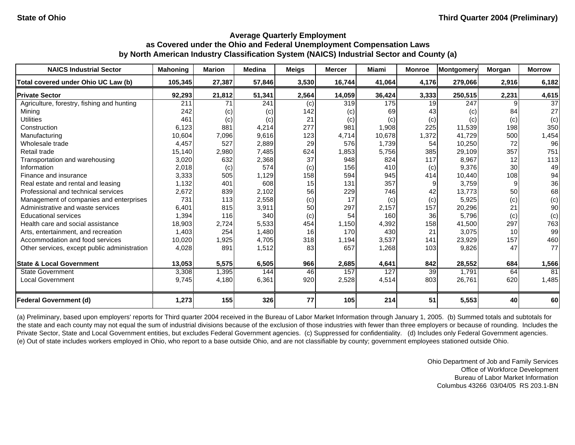| <b>NAICS Industrial Sector</b>               | <b>Mahoning</b> | <b>Marion</b> | <b>Medina</b> | <b>Meigs</b> | <b>Mercer</b>     | Miami  | <b>Monroe</b> | Montgomery | Morgan          | <b>Morrow</b> |
|----------------------------------------------|-----------------|---------------|---------------|--------------|-------------------|--------|---------------|------------|-----------------|---------------|
| Total covered under Ohio UC Law (b)          | 105,345         | 27,387        | 57,846        | 3,530        | 16,744            | 41,064 | 4,176         | 279,066    | 2,916           | 6,182         |
| <b>Private Sector</b>                        | 92,293          | 21,812        | 51,341        | 2,564        | 14,059            | 36,424 | 3,333         | 250,515    | 2,231           | 4,615         |
| Agriculture, forestry, fishing and hunting   | 211             | 71            | 241           | (c)          | 319               | 175    | 19            | 247        |                 | 37            |
| Minina                                       | 242             | (c)           | (c)           | 142          | $\left( c\right)$ | 69     | 43            | (c)        | 84              | 27            |
| Utilities                                    | 461             | (c)           | (c)           | 21           | (c)               | (c)    | (c)           | (c)        | (c)             | (c)           |
| Construction                                 | 6,123           | 881           | 4,214         | 277          | 981               | 1,908  | 225           | 11,539     | 198             | 350           |
| Manufacturing                                | 10,604          | 7,096         | 9,616         | 123          | 4,714             | 10,678 | 1,372         | 41,729     | 500             | 1,454         |
| Wholesale trade                              | 4,457           | 527           | 2,889         | 29           | 576               | 1,739  | 54            | 10,250     | 72              | 96            |
| Retail trade                                 | 15,140          | 2,980         | 7,485         | 624          | 1,853             | 5,756  | 385           | 29,109     | 357             | 751           |
| Transportation and warehousing               | 3,020           | 632           | 2,368         | 37           | 948               | 824    | 117           | 8,967      | 12              | 113           |
| Information                                  | 2,018           | (c)           | 574           | (c)          | 156               | 410    | (c)           | 9,376      | 30              | 49            |
| Finance and insurance                        | 3,333           | 505           | 1,129         | 158          | 594               | 945    | 414           | 10,440     | 108             | 94            |
| Real estate and rental and leasing           | 1,132           | 401           | 608           | 15           | 131               | 357    |               | 3,759      |                 | 36            |
| Professional and technical services          | 2,672           | 839           | 2,102         | 56           | 229               | 746    | 42            | 13,773     | 50              | 68            |
| Management of companies and enterprises      | 731             | 113           | 2,558         | (c)          | 17                | (c)    | (c)           | 5,925      | (c)             | (c)           |
| Administrative and waste services            | 6,401           | 815           | 3,911         | 50           | 297               | 2,157  | 157           | 20,296     | 21              | 90            |
| <b>Educational services</b>                  | 1,394           | 116           | 340           | (c)          | 54                | 160    | 36            | 5,796      | (c)             | (c)           |
| Health care and social assistance            | 18,903          | 2,724         | 5,533         | 454          | 1,150             | 4,392  | 158           | 41,500     | 297             | 763           |
| Arts, entertainment, and recreation          | 1,403           | 254           | 1,480         | 16           | 170               | 430    | 21            | 3,075      | 10 <sup>1</sup> | 99            |
| Accommodation and food services              | 10,020          | 1,925         | 4,705         | 318          | 1,194             | 3,537  | 141           | 23,929     | 157             | 460           |
| Other services, except public administration | 4,028           | 891           | 1,512         | 83           | 657               | 1,268  | 103           | 9,826      | 47              | 77            |
| <b>State &amp; Local Government</b>          | 13,053          | 5,575         | 6,505         | 966          | 2,685             | 4,641  | 842           | 28,552     | 684             | 1,566         |
| <b>State Government</b>                      | 3,308           | 1,395         | 144           | 46           | 157               | 127    | 39            | 1,791      | 64              | 81            |
| <b>Local Government</b>                      | 9,745           | 4,180         | 6,361         | 920          | 2,528             | 4,514  | 803           | 26,761     | 620             | 1,485         |
| <b>Federal Government (d)</b>                | 1,273           | 155           | 326           | 77           | <b>105</b>        | 214    | 51            | 5,553      | 40              | 60            |

(a) Preliminary, based upon employers' reports for Third quarter 2004 received in the Bureau of Labor Market Information through January 1, 2005. (b) Summed totals and subtotals for the state and each county may not equal the sum of industrial divisions because of the exclusion of those industries with fewer than three employers or because of rounding. Includes the Private Sector, State and Local Government entities, but excludes Federal Government agencies. (c) Suppressed for confidentiality. (d) Includes only Federal Government agencies. (e) Out of state includes workers employed in Ohio, who report to a base outside Ohio, and are not classifiable by county; government employees stationed outside Ohio.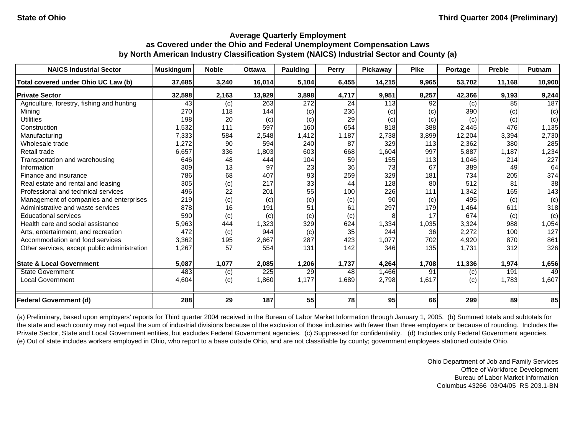| <b>NAICS Industrial Sector</b>               | <b>Muskingum</b> | <b>Noble</b> | <b>Ottawa</b> | Paulding | Perry | <b>Pickawav</b> | <b>Pike</b> | Portage | <b>Preble</b> | Putnam |
|----------------------------------------------|------------------|--------------|---------------|----------|-------|-----------------|-------------|---------|---------------|--------|
| Total covered under Ohio UC Law (b)          | 37,685           | 3,240        | 16,014        | 5,104    | 6,455 | 14,215          | 9.965       | 53,702  | 11,168        | 10,900 |
| <b>Private Sector</b>                        | 32,598           | 2,163        | 13,929        | 3,898    | 4,717 | 9,951           | 8,257       | 42,366  | 9,193         | 9,244  |
| Agriculture, forestry, fishing and hunting   | 43               | (c)          | 263           | 272      | 24    | 113             | 92          | (c)     | 85            | 187    |
| Minina                                       | 270              | 118          | 144           | (c)      | 236   | (C)             | (c)         | 390     | (c)           | (c)    |
| <b>Utilities</b>                             | 198              | 20           | (c)           | (c)      | 29    | (c)             | (c)         | (c)     | (c)           | (c)    |
| Construction                                 | 1,532            | 111          | 597           | 160      | 654   | 818             | 388         | 2,445   | 476           | 1,135  |
| Manufacturing                                | 7,333            | 584          | 2,548         | 1.412    | 1.187 | 2,738           | 3,899       | 12,204  | 3,394         | 2,730  |
| Wholesale trade                              | 1,272            | 90           | 594           | 240      | 87    | 329             | 113         | 2,362   | 380           | 285    |
| Retail trade                                 | 6,657            | 336          | 1,803         | 603      | 668   | 1,604           | 997         | 5,887   | 1,187         | 1,234  |
| Transportation and warehousing               | 646              | 48           | 444           | 104      | 59    | 155             | 113         | 1,046   | 214           | 227    |
| Information                                  | 309              | 13           | 97            | 23       | 36    | 73              | 67          | 389     | 49            | 64     |
| Finance and insurance                        | 786              | 68           | 407           | 93       | 259   | 329             | 181         | 734     | 205           | 374    |
| Real estate and rental and leasing           | 305              | (c)          | 217           | 33       | 44    | 128             | 80          | 512     | 81            | 38     |
| Professional and technical services          | 496              | 22           | 201           | 55       | 100   | 226             | 111         | 1,342   | 165           | 143    |
| Management of companies and enterprises      | 219              | (c)          | (c)           | (c)      | (c)   | 90              | (c)         | 495     | (c)           | (c)    |
| Administrative and waste services            | 878              | 16           | 191           | 51       | 61    | 297             | 179         | 1,464   | 611           | 318    |
| <b>Educational services</b>                  | 590              | (c)          | (c)           | (c)      | (c)   |                 | 17          | 674     | (c)           | (c)    |
| Health care and social assistance            | 5,963            | 444          | 1.323         | 329      | 624   | 1,334           | 1,035       | 3,324   | 988           | 1,054  |
| Arts, entertainment, and recreation          | 472              | (c)          | 944           | (c)      | 35    | 244             | 36          | 2,272   | 100           | 127    |
| Accommodation and food services              | 3,362            | 195          | 2,667         | 287      | 423   | 1,077           | 702         | 4,920   | 870           | 861    |
| Other services, except public administration | 1,267            | 57           | 554           | 131      | 142   | 346             | 135         | 1,731   | 312           | 326    |
| <b>State &amp; Local Government</b>          | 5,087            | 1,077        | 2,085         | 1,206    | 1,737 | 4,264           | 1,708       | 11,336  | 1,974         | 1,656  |
| <b>State Government</b>                      | 483              | (c)          | 225           | 29       | 48    | 1,466           | 91          | (c)     | 191           | 49     |
| <b>Local Government</b>                      | 4,604            | (c)          | 1,860         | 1,177    | 1,689 | 2,798           | 1,617       | (c)     | 1,783         | 1,607  |
| <b>Federal Government (d)</b>                | 288              | 29           | 187           | 55       | 78    | 95              | 66          | 299     | 89            | 85     |

(a) Preliminary, based upon employers' reports for Third quarter 2004 received in the Bureau of Labor Market Information through January 1, 2005. (b) Summed totals and subtotals for the state and each county may not equal the sum of industrial divisions because of the exclusion of those industries with fewer than three employers or because of rounding. Includes the Private Sector, State and Local Government entities, but excludes Federal Government agencies. (c) Suppressed for confidentiality. (d) Includes only Federal Government agencies. (e) Out of state includes workers employed in Ohio, who report to a base outside Ohio, and are not classifiable by county; government employees stationed outside Ohio.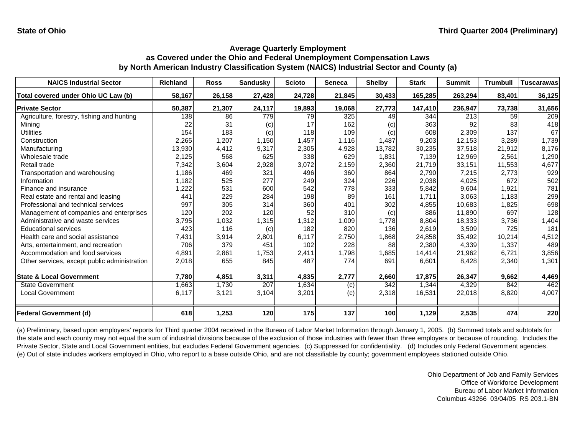| <b>NAICS Industrial Sector</b>               | Richland | <b>Ross</b> | <b>Sandusky</b> | <b>Scioto</b> | <b>Seneca</b> | <b>Shelby</b> | <b>Stark</b> | <b>Summit</b> | <b>Trumbull</b> | <b>Tuscarawas</b> |
|----------------------------------------------|----------|-------------|-----------------|---------------|---------------|---------------|--------------|---------------|-----------------|-------------------|
| Total covered under Ohio UC Law (b)          | 58,167   | 26,158      | 27,428          | 24,728        | 21,845        | 30,433        | 165,285      | 263,294       | 83,401          | 36,125            |
| <b>Private Sector</b>                        | 50,387   | 21,307      | 24,117          | 19,893        | 19,068        | 27,773        | 147,410      | 236,947       | 73,738          | 31,656            |
| Agriculture, forestry, fishing and hunting   | 138      | 86          | 779             | 79            | 325           | 49            | 344          | 213           | 59              | 209               |
| Mining                                       | 22       | 31          | (c)             | 17            | 162           | (c)           | 363          | 92            | 83              | 418               |
| Utilities                                    | 154      | 183         | (c)             | 118           | 109           | (c)           | 608          | 2,309         | 137             | 67                |
| Construction                                 | 2,265    | 1,207       | 1,150           | 1,457         | 1,116         | 1,487         | 9,203        | 12,153        | 3,289           | 1,739             |
| Manufacturing                                | 13,930   | 4,412       | 9,317           | 2,305         | 4,928         | 13,782        | 30,235       | 37,518        | 21,912          | 8,176             |
| Wholesale trade                              | 2,125    | 568         | 625             | 338           | 629           | 1,831         | 7,139        | 12,969        | 2,561           | 1,290             |
| Retail trade                                 | 7,342    | 3,604       | 2,928           | 3,072         | 2,159         | 2,360         | 21,719       | 33,151        | 11,553          | 4,677             |
| Transportation and warehousing               | 1,186    | 469         | 321             | 496           | 360           | 864           | 2,790        | 7,215         | 2,773           | 929               |
| Information                                  | 1,182    | 525         | 277             | 249           | 324           | 226           | 2,038        | 4,025         | 672             | 502               |
| Finance and insurance                        | ,222     | 531         | 600             | 542           | 778           | 333           | 5,842        | 9,604         | 1,921           | 781               |
| Real estate and rental and leasing           | 441      | 229         | 284             | 198           | 89            | 161           | 1,711        | 3,063         | 1,183           | 299               |
| Professional and technical services          | 997      | 305         | 314             | 360           | 401           | 302           | 4,855        | 10,683        | 1,825           | 698               |
| Management of companies and enterprises      | 120      | 202         | 120             | 52            | 310           | (c)           | 886          | 11,890        | 697             | 128               |
| Administrative and waste services            | 3,795    | 1,032       | 1,315           | 1,312         | 1,009         | 1,778         | 8,804        | 18,333        | 3,736           | 1,404             |
| <b>Educational services</b>                  | 423      | 116         | (c)             | 182           | 820           | 136           | 2,619        | 3,509         | 725             | 181               |
| Health care and social assistance            | 7,431    | 3,914       | 2,801           | 6,117         | 2,750         | 1,868         | 24,858       | 35,492        | 10,214          | 4,512             |
| Arts, entertainment, and recreation          | 706      | 379         | 451             | 102           | 228           | 88            | 2,380        | 4,339         | 1,337           | 489               |
| Accommodation and food services              | 4,891    | 2,861       | 1,753           | 2,411         | 1,798         | 1,685         | 14,414       | 21,962        | 6,721           | 3,856             |
| Other services, except public administration | 2,018    | 655         | 845             | 487           | 774           | 691           | 6,601        | 8,428         | 2,340           | 1,301             |
| <b>State &amp; Local Government</b>          | 7,780    | 4,851       | 3,311           | 4,835         | 2,777         | 2,660         | 17,875       | 26,347        | 9,662           | 4,469             |
| <b>State Government</b>                      | 1,663    | 1,730       | 207             | 1,634         | (c)           | 342           | 1,344        | 4,329         | 842             | 462               |
| <b>Local Government</b>                      | 6,117    | 3,121       | 3,104           | 3,201         | (c)           | 2,318         | 16,531       | 22,018        | 8,820           | 4,007             |
| <b>Federal Government (d)</b>                | 618      | 1,253       | 120             | 175           | 137           | 100           | 1,129        | 2,535         | 474             | 220               |

(a) Preliminary, based upon employers' reports for Third quarter 2004 received in the Bureau of Labor Market Information through January 1, 2005. (b) Summed totals and subtotals for the state and each county may not equal the sum of industrial divisions because of the exclusion of those industries with fewer than three employers or because of rounding. Includes the Private Sector, State and Local Government entities, but excludes Federal Government agencies. (c) Suppressed for confidentiality. (d) Includes only Federal Government agencies. (e) Out of state includes workers employed in Ohio, who report to a base outside Ohio, and are not classifiable by county; government employees stationed outside Ohio.